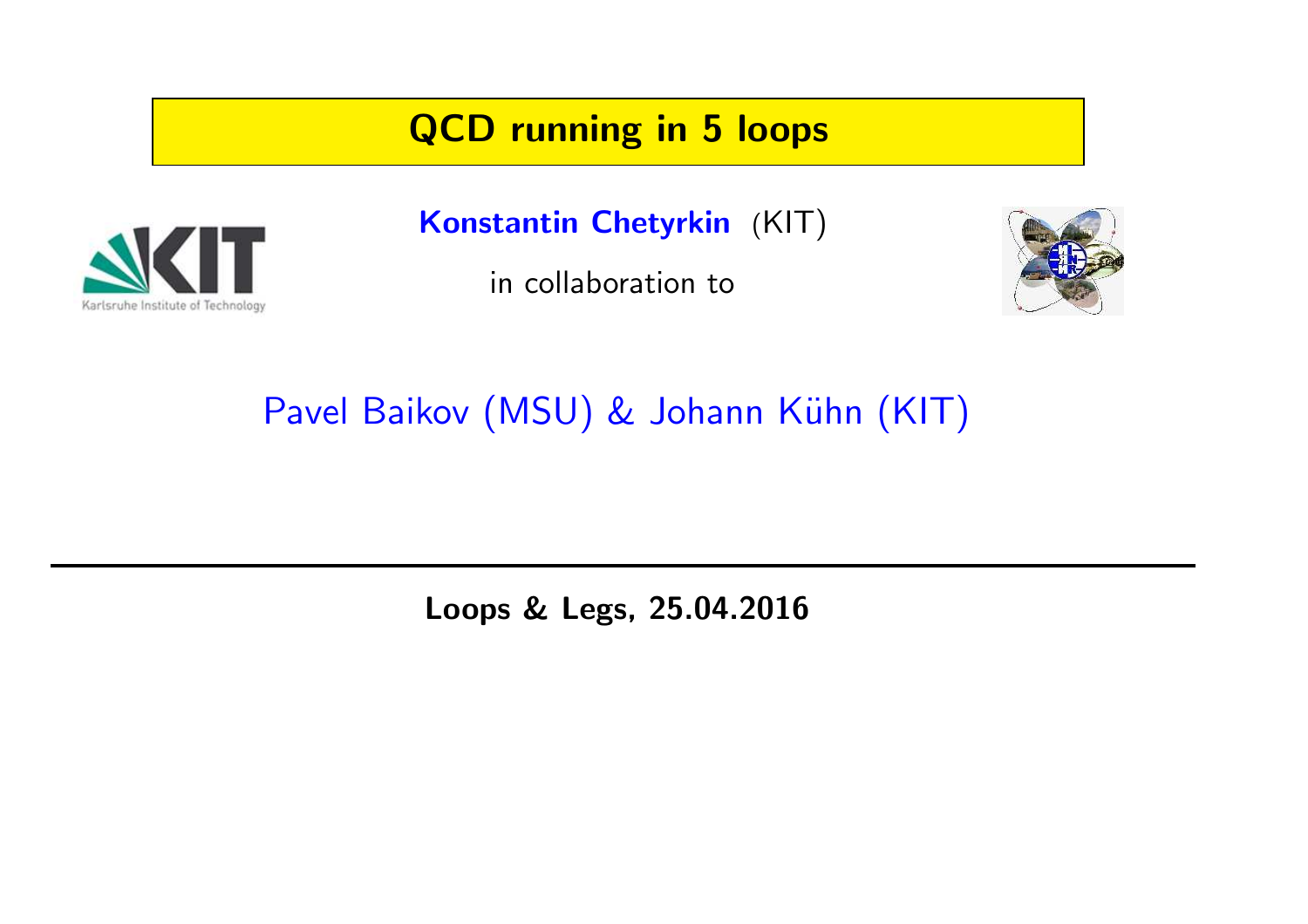## QCD running in 5 loops



Konstantin Chetyrkin (KIT)

in collaboration to



Pavel Baikov (MSU) & Johann Kühn (KIT)

Loops & Legs, 25.04.2016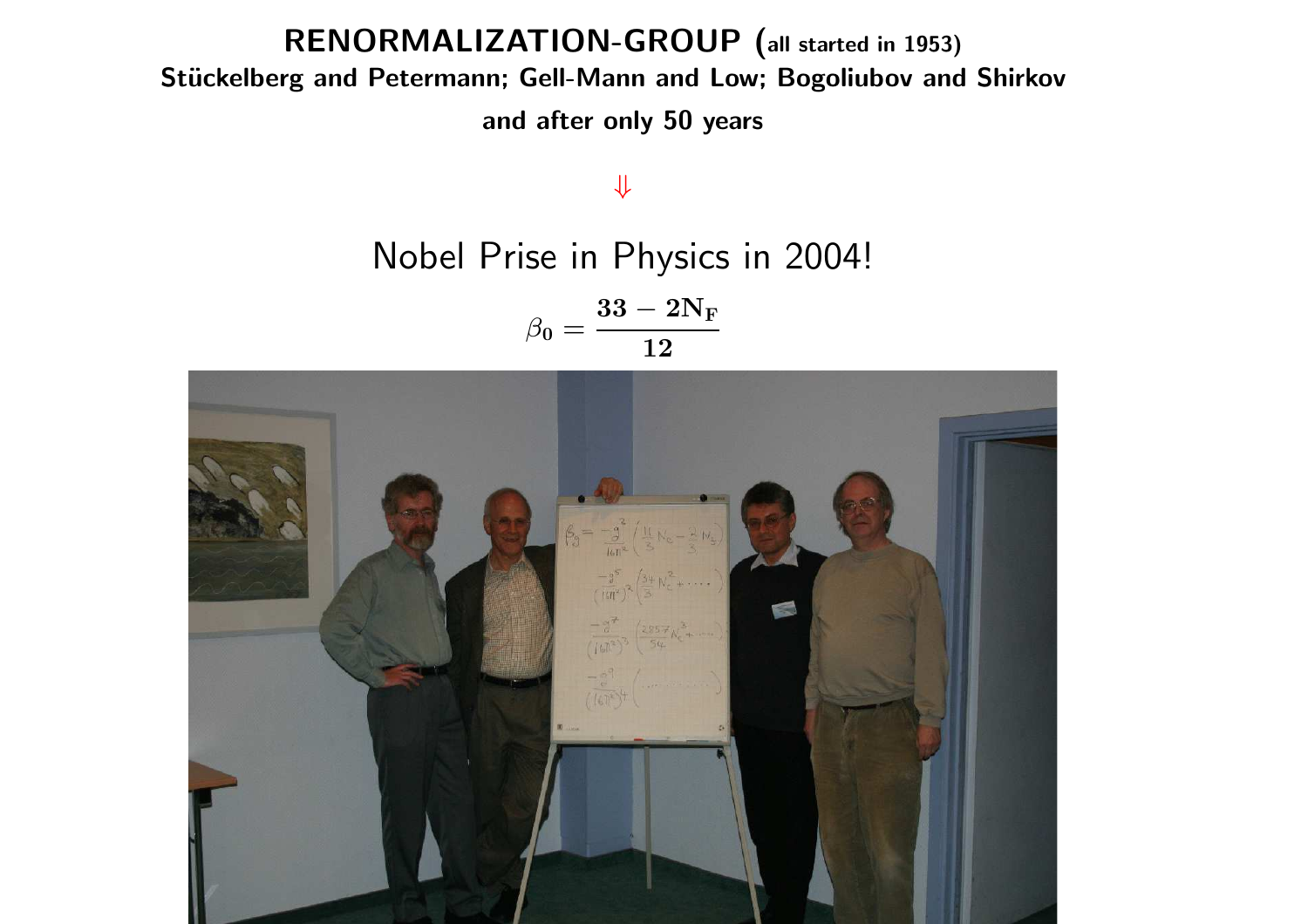#### RENORMALIZATION-GROUP (all started in 1953) Stückelberg and Petermann; Gell-Mann and Low; Bogoliubov and Shirkov

and after only 50 years

⇓

Nobel Prise in Physics in 2004!

 $\beta_0 =$  $33-2{\rm N_F}$ 12

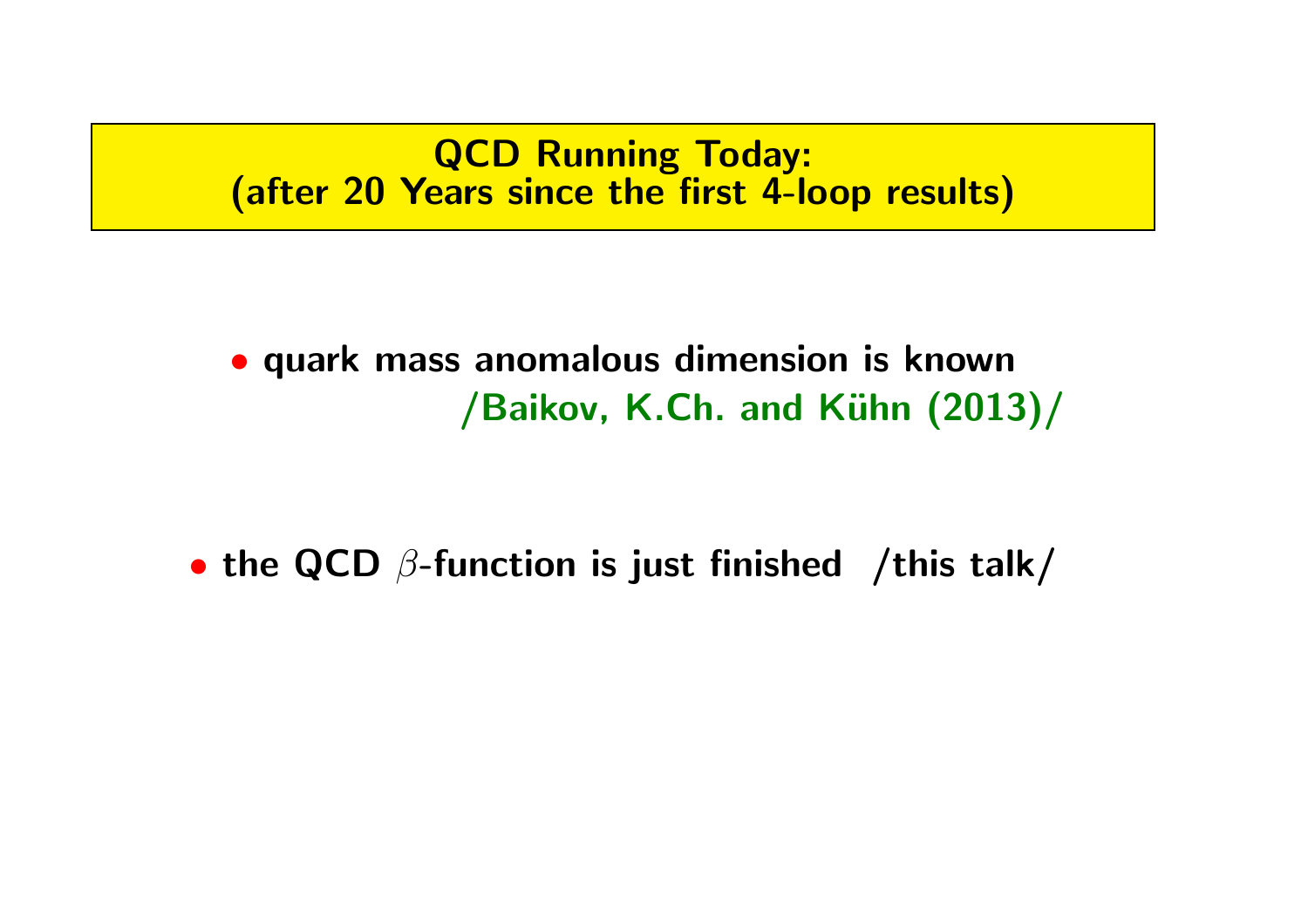QCD Running Today: (after 20 Years since the first 4-loop results)

• quark mass anomalous dimension is known /Baikov, K.Ch. and Kühn (2013)/

• the QCD  $\beta$ -function is just finished /this talk/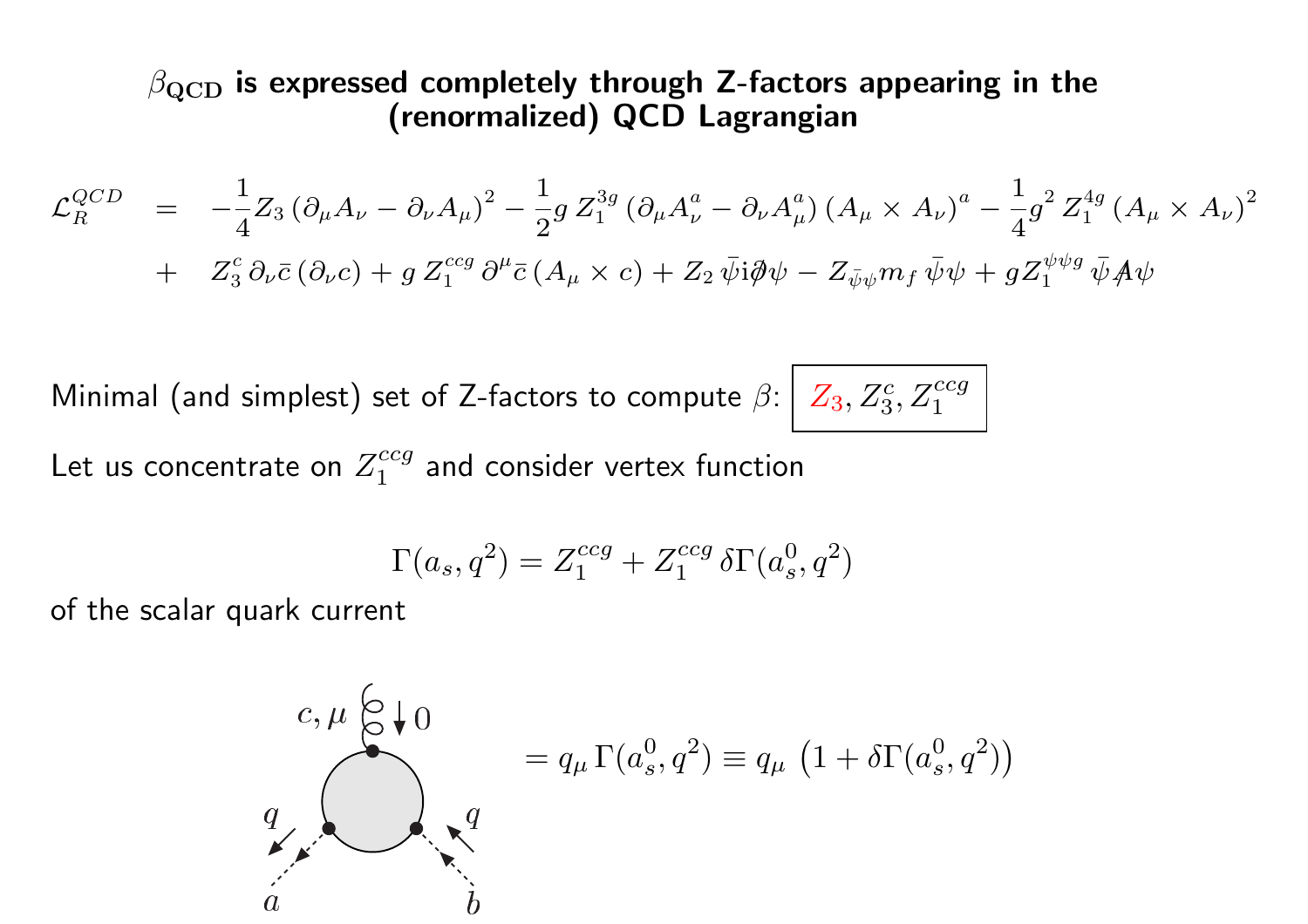#### $\beta_{\rm QCD}$  is expressed completely through Z-factors appearing in the (renormalized) QCD Lagrangian

$$
\mathcal{L}_{R}^{QCD} = -\frac{1}{4} Z_{3} (\partial_{\mu} A_{\nu} - \partial_{\nu} A_{\mu})^{2} - \frac{1}{2} g Z_{1}^{3g} (\partial_{\mu} A_{\nu}^{a} - \partial_{\nu} A_{\mu}^{a}) (A_{\mu} \times A_{\nu})^{a} - \frac{1}{4} g^{2} Z_{1}^{4g} (A_{\mu} \times A_{\nu})^{2} \n+ Z_{3}^{c} \partial_{\nu} \bar{c} (\partial_{\nu} c) + g Z_{1}^{ccg} \partial^{\mu} \bar{c} (A_{\mu} \times c) + Z_{2} \bar{\psi} i \partial \psi - Z_{\bar{\psi}\psi} m_{f} \bar{\psi}\psi + g Z_{1}^{\psi\psi g} \bar{\psi} A \psi
$$

Minimal (and simplest) set of Z-factors to compute  $\beta\colon \!|\;Z_3,Z_3\rangle$ 

$$
\cdot \left| \begin{array}{l} Z_3, Z_3^c, Z_1^{ccg} \end{array} \right|
$$

Let us concentrate on  $Z_1^{ccg}$  and consider vertex function

$$
\Gamma(a_s, q^2) = Z_1^{ccg} + Z_1^{ccg} \, \delta \Gamma(a^0_s, q^2)
$$

of the scalar quark current

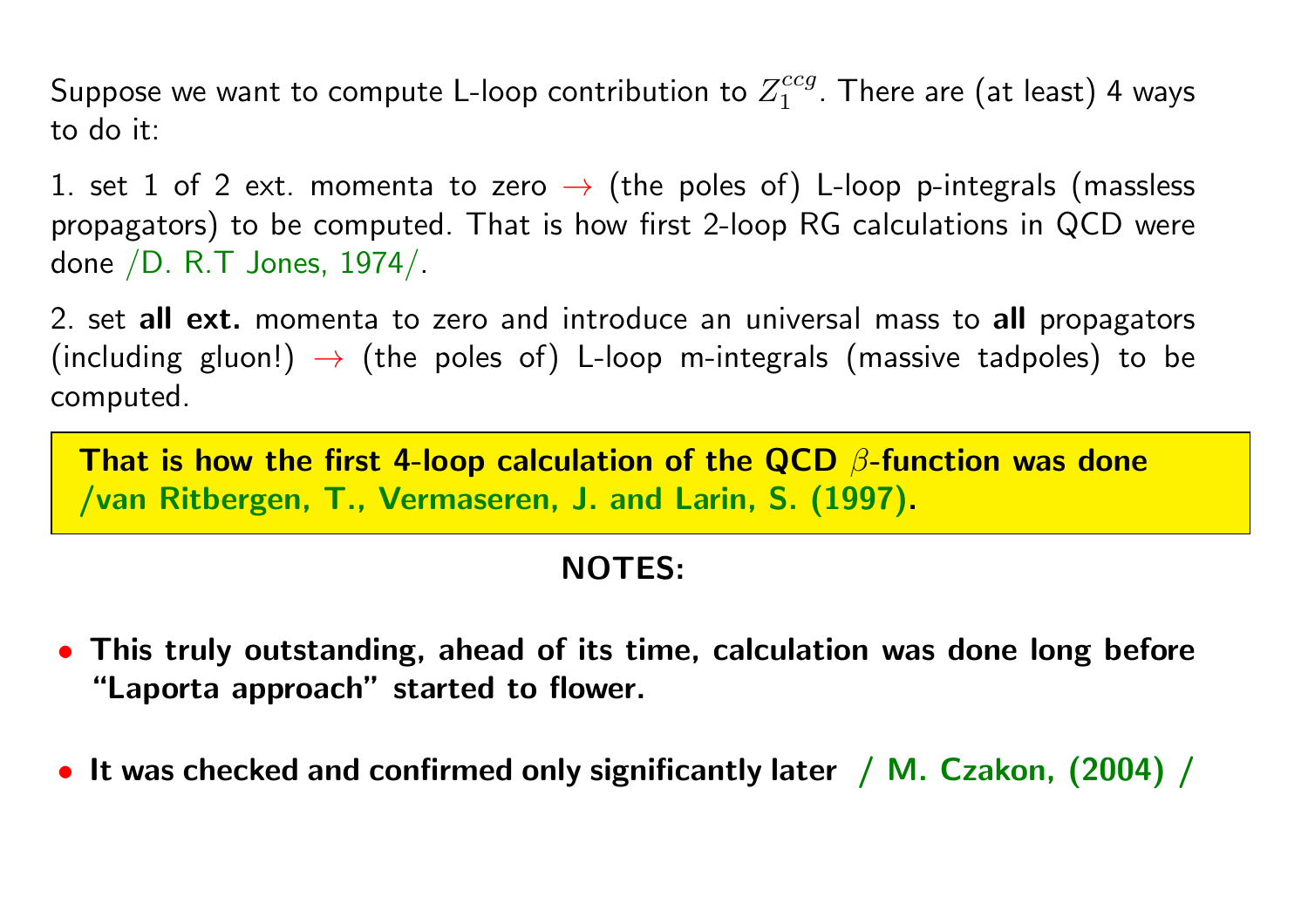Suppose we want to compute L-loop contribution to  $Z_1^{ccg}$  . There are (at least) 4 ways to do it:

1. set 1 of 2 ext. momenta to zero  $\rightarrow$  (the poles of) L-loop p-integrals (massless propagators) to be computed. That is how first 2-loop RG calculations in QCD were done /D. R.T Jones, 1974/.

2. set all ext. momenta to zero and introduce an universal mass to all propagators (including gluon!)  $\rightarrow$  (the poles of) L-loop m-integrals (massive tadpoles) to be computed.

That is how the first 4-loop calculation of the QCD  $\beta$ -function was done /van Ritbergen, T., Vermaseren, J. and Larin, S. (1997).

#### NOTES:

- This truly outstanding, ahead of its time, calculation was done long before "Laporta approach" started to flower.
- It was checked and confirmed only significantly later / M. Czakon, (2004) /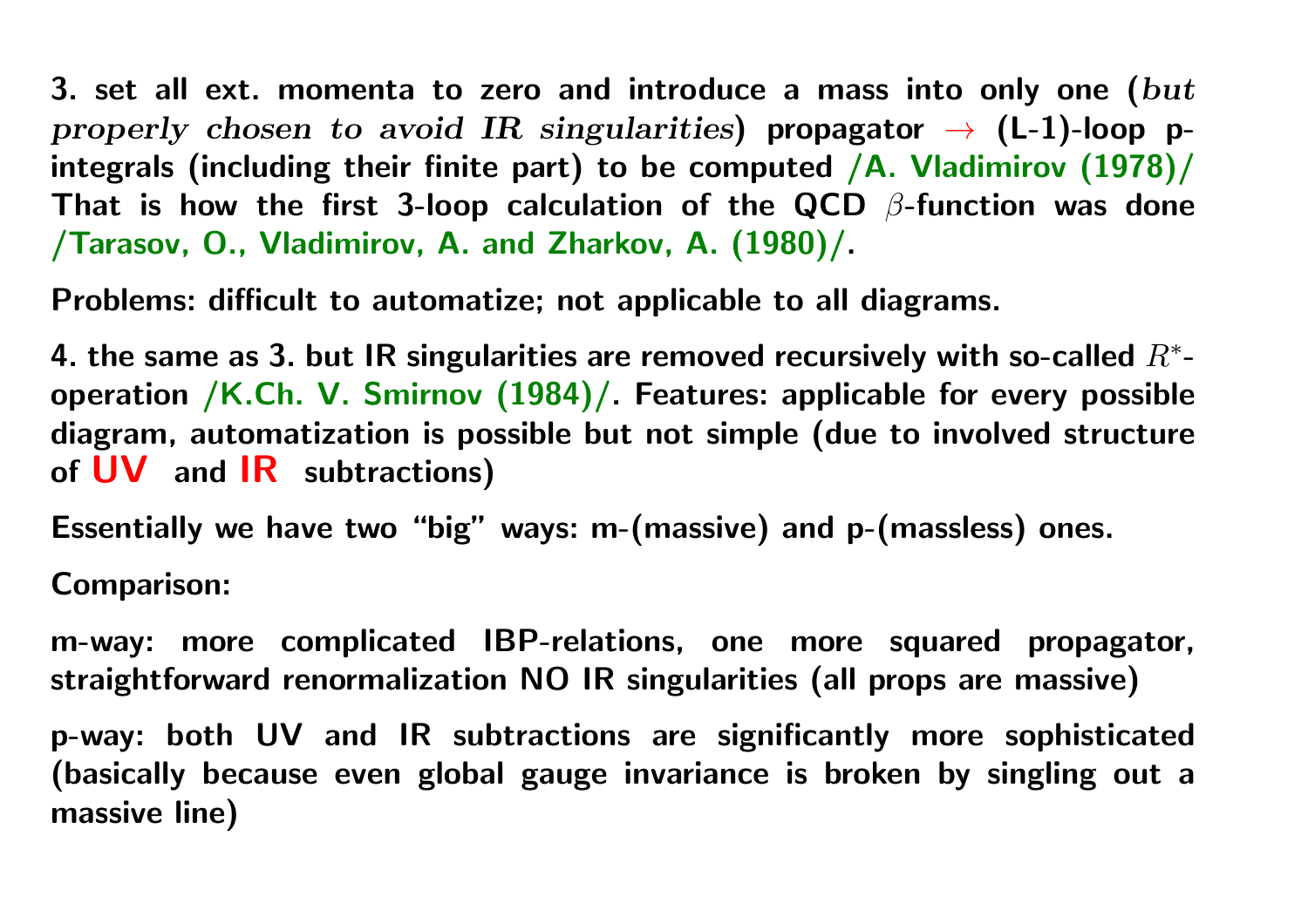3. set all ext. momenta to zero and introduce a mass into only one ( $but$ properly chosen to avoid IR singularities) propagator  $\rightarrow$  (L-1)-loop pintegrals (including their finite part) to be computed  $/A$ . Vladimirov  $(1978)$ That is how the first 3-loop calculation of the QCD  $\beta$ -function was done /Tarasov, O., Vladimirov, A. and Zharkov, A. (1980)/.

Problems: difficult to automatize; not applicable to all diagrams.

4. the same as 3. but IR singularities are removed recursively with so-called  $R^{\ast}$ operation /K.Ch. V. Smirnov (1984)/. Features: applicable for every possible diagram, automatization is possible but not simple (due to involved structure of UV and IR subtractions)

Essentially we have two "big" ways: m-(massive) and p-(massless) ones.

Comparison:

m-way: more complicated IBP-relations, one more squared propagator, straightforward renormalization NO IR singularities (all props are massive)

p-way: both UV and IR subtractions are significantly more sophisticate d (basically because even global gauge invariance is broken by singling out a massive line)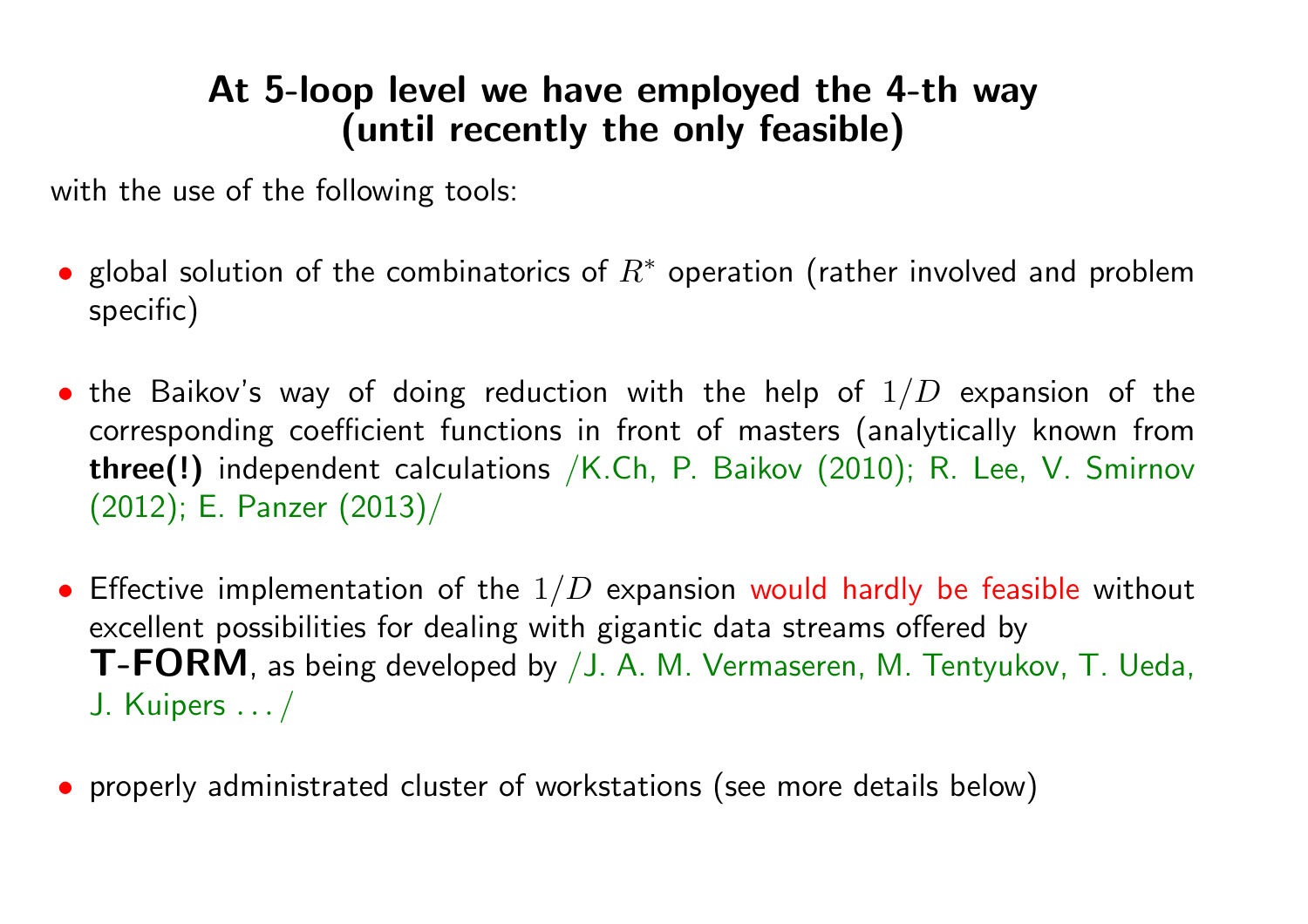### At 5-loop level we have employed the 4-th way (until recently the only feasible)

with the use of the following tools:

- global solution of the combinatorics of  $R^*$  operation (rather involved and problem specific)
- $\bullet$  the Baikov's way of doing reduction with the help of  $1/D$  expansion of the corresponding coefficient functions in front of masters (analytically known from three(!) independent calculations /K.Ch, P. Baikov (2010); R. Lee, V. Smirnov (2012); E. Panzer (2013)/
- $\bullet$  Effective implementation of the  $1/D$  expansion would hardly be feasible without excellent possibilities for dealing with gigantic data streams offered by T-FORM, as being developed by /J. A. M. Vermaseren, M. Tentyukov, T. Ueda, J. Kuipers . . . /
- properly administrated cluster of workstations (see more details below)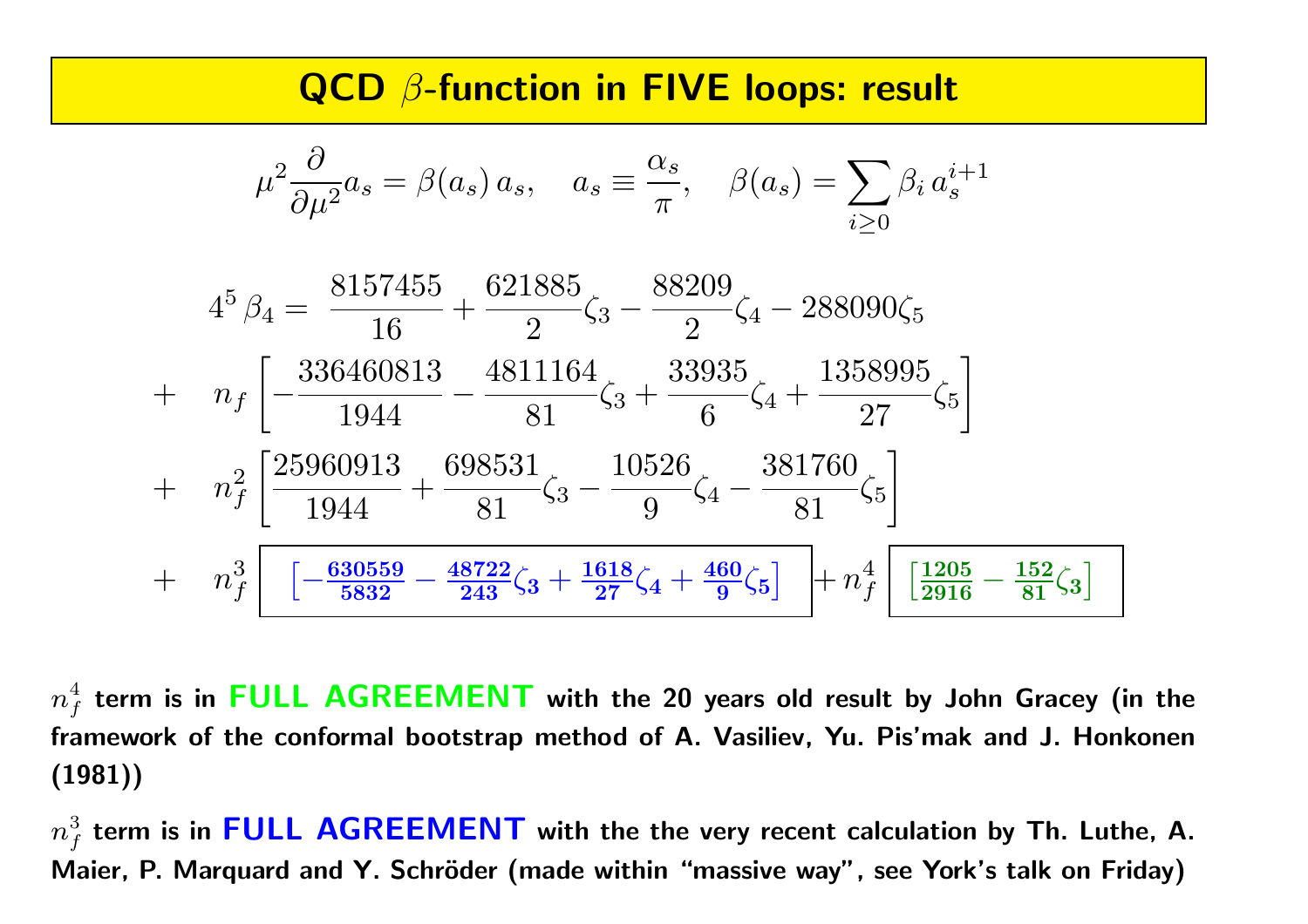#### QCD β-function in FIVE loops: result

$$
\mu^{2} \frac{\partial}{\partial \mu^{2}} a_{s} = \beta(a_{s}) a_{s}, \quad a_{s} \equiv \frac{\alpha_{s}}{\pi}, \quad \beta(a_{s}) = \sum_{i \geq 0} \beta_{i} a_{s}^{i+1}
$$
\n
$$
4^{5} \beta_{4} = \frac{8157455}{16} + \frac{621885}{2} \zeta_{3} - \frac{88209}{2} \zeta_{4} - 288090 \zeta_{5}
$$
\n
$$
+ \quad n_{f} \left[ -\frac{336460813}{1944} - \frac{4811164}{81} \zeta_{3} + \frac{33935}{6} \zeta_{4} + \frac{1358995}{27} \zeta_{5} \right]
$$
\n
$$
+ \quad n_{f}^{2} \left[ \frac{25960913}{1944} + \frac{698531}{81} \zeta_{3} - \frac{10526}{9} \zeta_{4} - \frac{381760}{81} \zeta_{5} \right]
$$
\n
$$
+ \quad n_{f}^{3} \left[ -\frac{630559}{5832} - \frac{48722}{243} \zeta_{3} + \frac{1618}{27} \zeta_{4} + \frac{460}{9} \zeta_{5} \right] + n_{f}^{4} \left[ \frac{1205}{2916} - \frac{152}{81} \zeta_{3} \right]
$$

 $n_f^4$  term is in FULL AGREEMENT with the 20 years old result by John Gracey (in the framework of the conformal bootstrap method of A. Vasiliev, Yu. Pis'mak and J. Honkonen (1981))

 $n_f^3$  term is in FULL AGREEMENT with the the very recent calculation by Th. Luthe, A. Maier, P. Marquard and Y. Schröder (made within "massive way", see York's talk on Friday)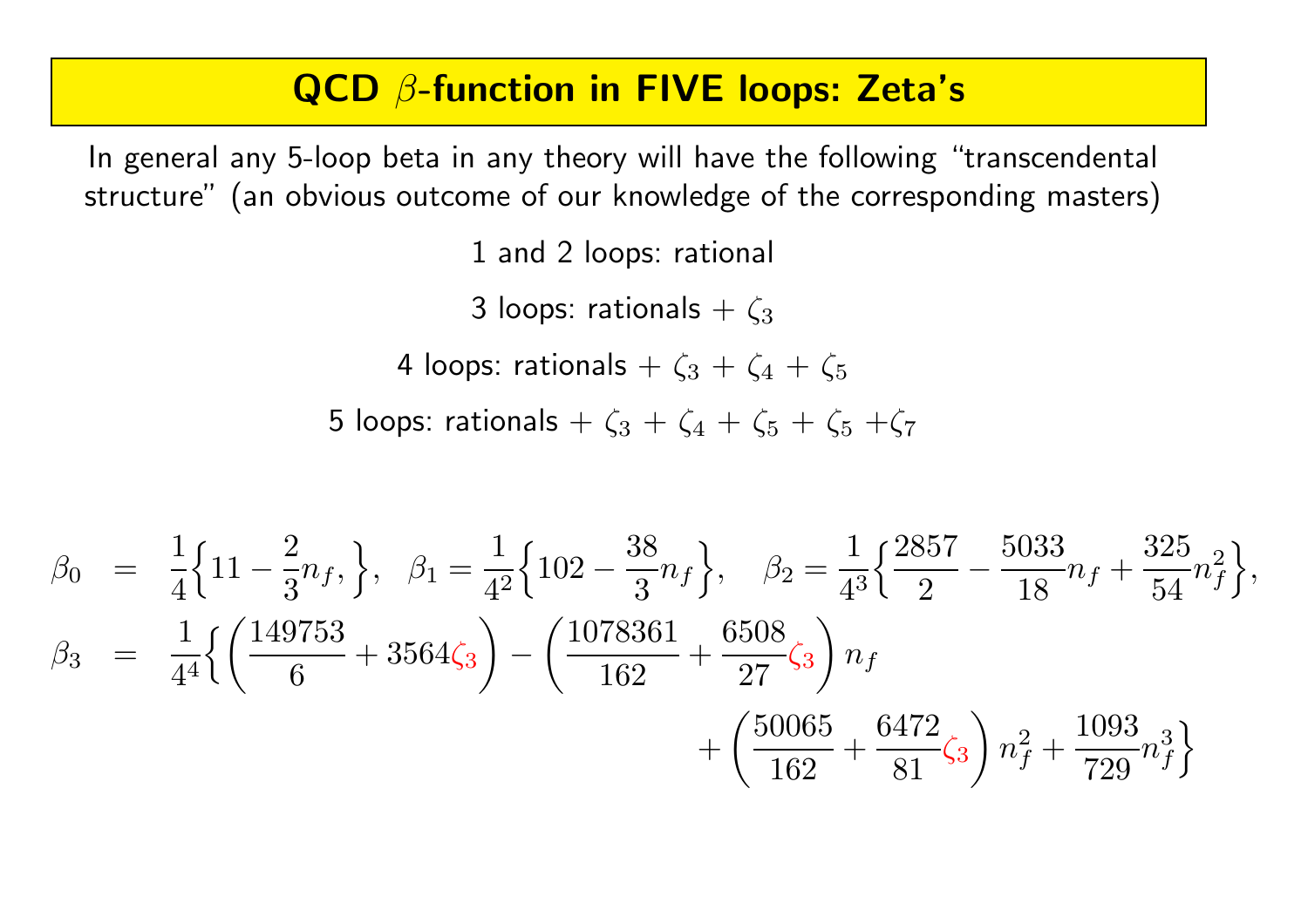## QCD β-function in FIVE loops: Zeta's

In general any 5-loop beta in any theory will have the following "transcendental structure" (an obvious outcome of our knowledge of the corresponding masters)

1 and 2 loops: rational

3 loops: rationals +  $\zeta_3$ 

4 loops: rationals +  $\zeta_3 + \zeta_4 + \zeta_5$ 

5 loops: rationals +  $\zeta_3 + \zeta_4 + \zeta_5 + \zeta_5 + \zeta_7$ 

$$
\beta_0 = \frac{1}{4} \{ 11 - \frac{2}{3} n_f, \}, \quad \beta_1 = \frac{1}{4^2} \{ 102 - \frac{38}{3} n_f \}, \quad \beta_2 = \frac{1}{4^3} \{ \frac{2857}{2} - \frac{5033}{18} n_f + \frac{325}{54} n_f^2 \}, \n\beta_3 = \frac{1}{4^4} \{ \left( \frac{149753}{6} + 3564\zeta_3 \right) - \left( \frac{1078361}{162} + \frac{6508}{27} \zeta_3 \right) n_f \n+ \left( \frac{50065}{162} + \frac{6472}{81} \zeta_3 \right) n_f^2 + \frac{1093}{729} n_f^3 \}
$$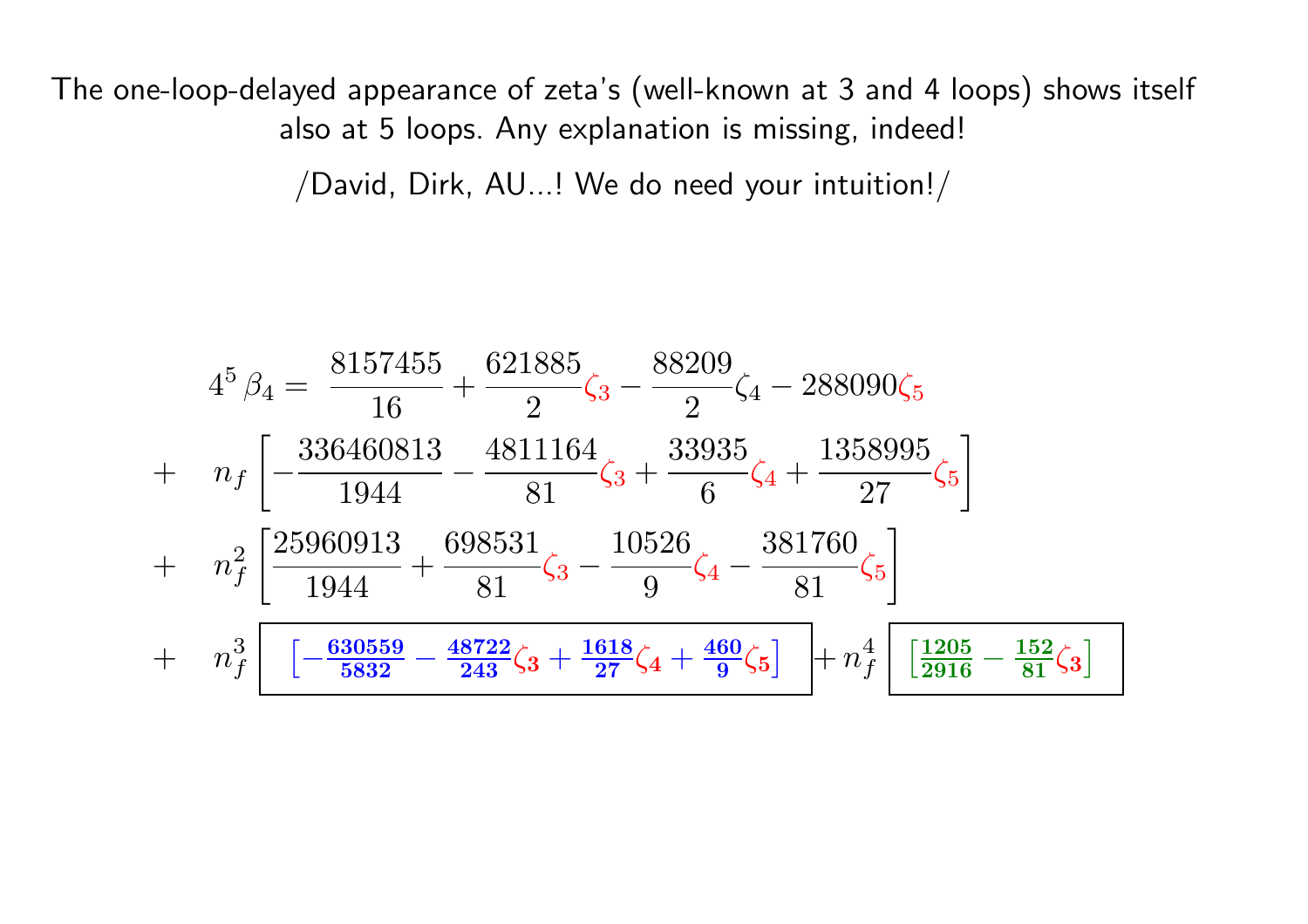The one-loop-delayed appearance of zeta's (well-known at <sup>3</sup> and <sup>4</sup> loops) shows itself also at 5 loops. Any explanation is missing, indeed!

/David, Dirk, AU...! We do need your intuition!/

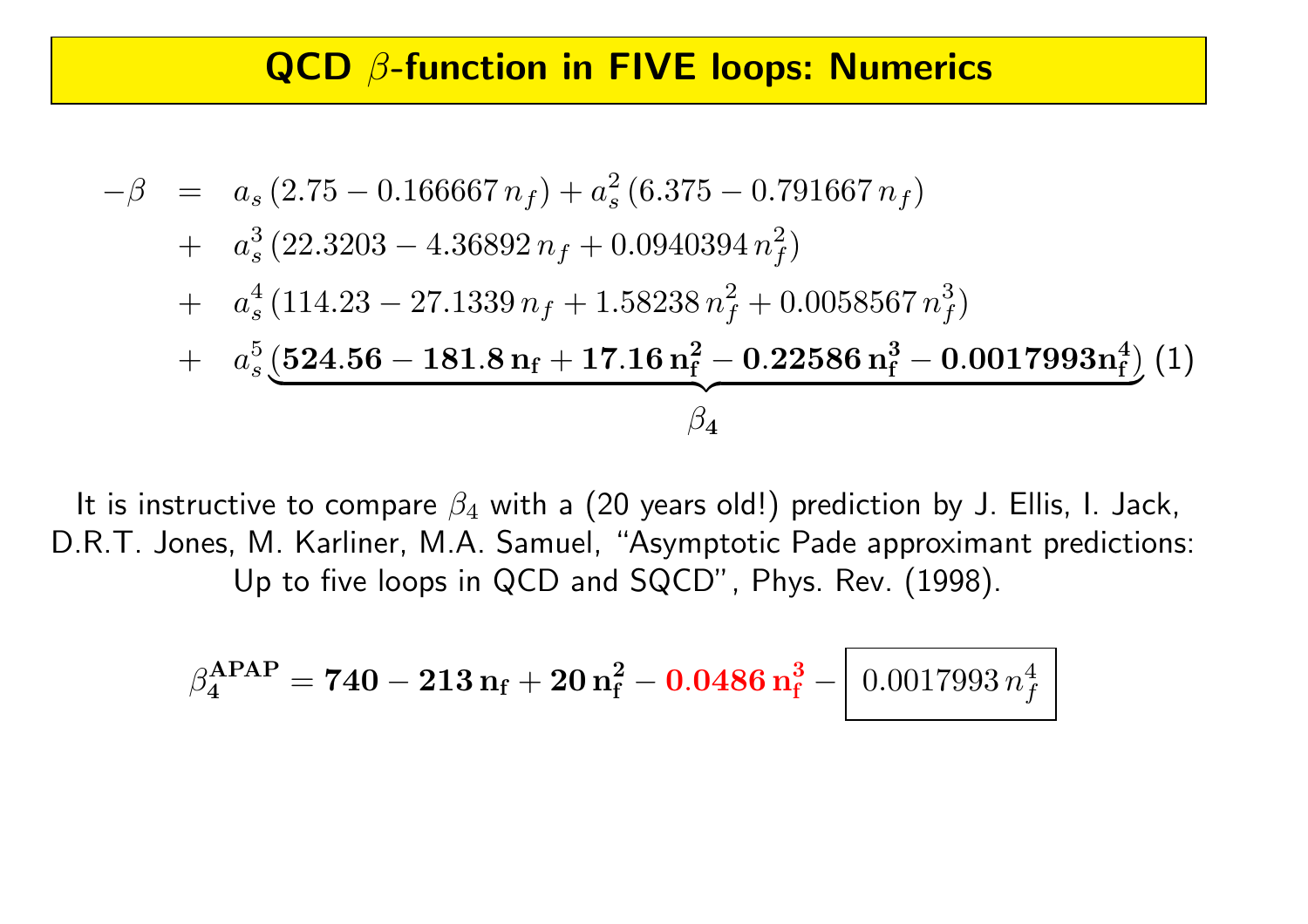### QCD β-function in FIVE loops: Numerics

$$
- \beta = a_s (2.75 - 0.166667 n_f) + a_s^2 (6.375 - 0.791667 n_f)
$$
  
+ 
$$
a_s^3 (22.3203 - 4.36892 n_f + 0.0940394 n_f^2)
$$
  
+ 
$$
a_s^4 (114.23 - 27.1339 n_f + 1.58238 n_f^2 + 0.0058567 n_f^3)
$$
  
+ 
$$
a_s^5 \underbrace{(524.56 - 181.8 n_f + 17.16 n_f^2 - 0.22586 n_f^3 - 0.0017993 n_f^4)}_{\beta_4} (1)
$$

It is instructive to compare  $\beta_4$  with a (20 years old!) prediction by J. Ellis, I. Jack, D.R.T. Jones, M. Karliner, M.A. Samuel, "Asymptotic Pade approximant predictions: Up to five loops in QCD and SQCD", Phys. Rev. (1998).

$$
\beta^{\text{APAP}}_{4} = 740 - 213 n_{\text{f}} + 20 n_{\text{f}}^{2} - 0.0486 n_{\text{f}}^{3} - 0.0017993 n_{\text{f}}^{4}
$$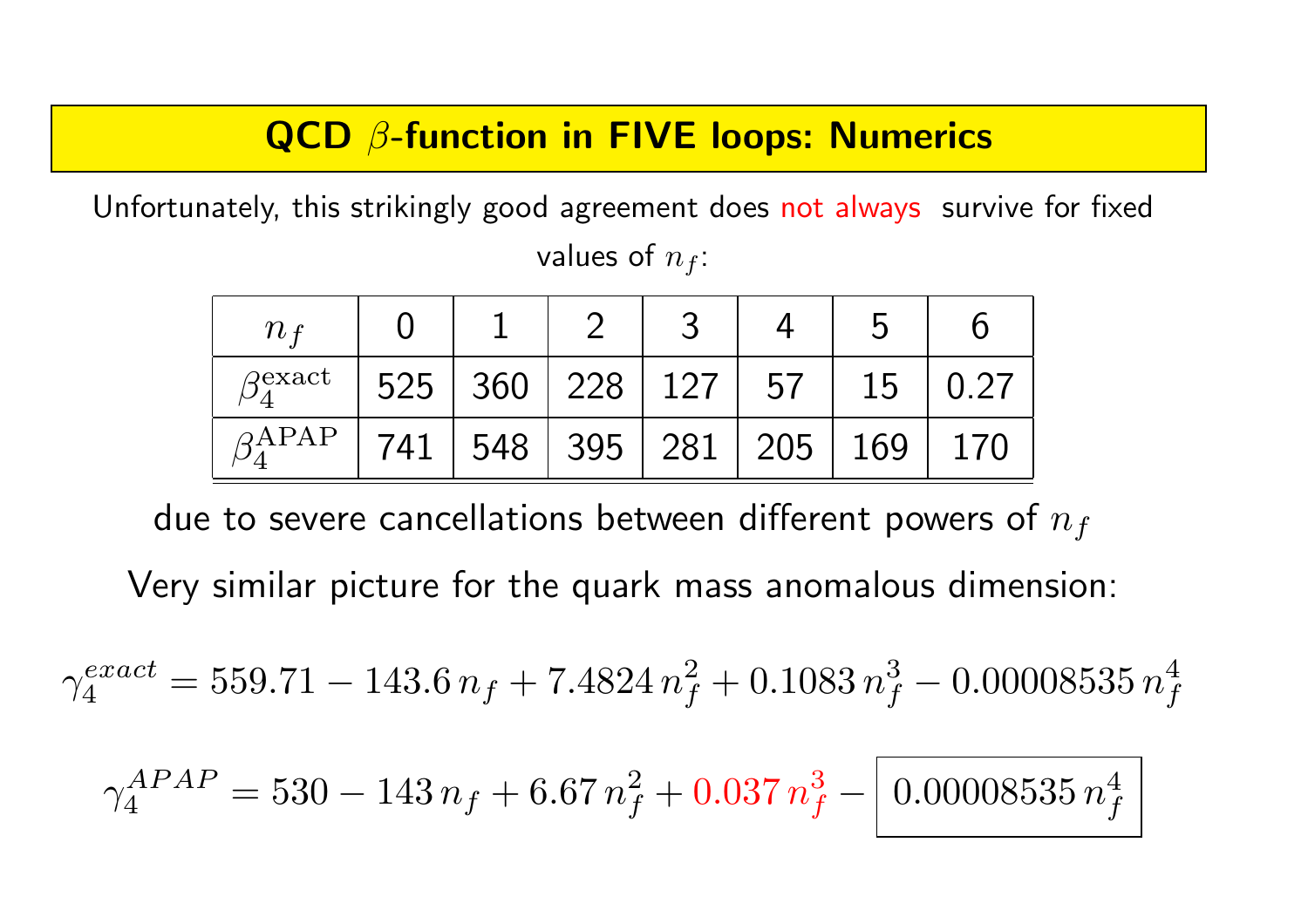## QCD β-function in FIVE loops: Numerics

Unfortunately, this strikingly good agreement does not always survive for fixed values of  $n_f$ :

| n <sub>f</sub>           |     |                     |                 |    | 5   |      |
|--------------------------|-----|---------------------|-----------------|----|-----|------|
| $\beta^{\text{exact}}_4$ |     | $525 \mid 360 \mid$ | 228   127       | 57 | 15  | 0.27 |
| $\beta$ APAP             | 741 | 548                 | 395   281   205 |    | 169 | 170  |

due to severe cancellations between different powers of  $n_f$ 

Very similar picture for the quark mass anomalous dimension:

$$
\gamma_4^{exact} = 559.71 - 143.6 n_f + 7.4824 n_f^2 + 0.1083 n_f^3 - 0.00008535 n_f^4
$$

$$
\gamma_4^{APAP} = 530 - 143 n_f + 6.67 n_f^2 + 0.037 n_f^3 - 0.00008535 n_f^4
$$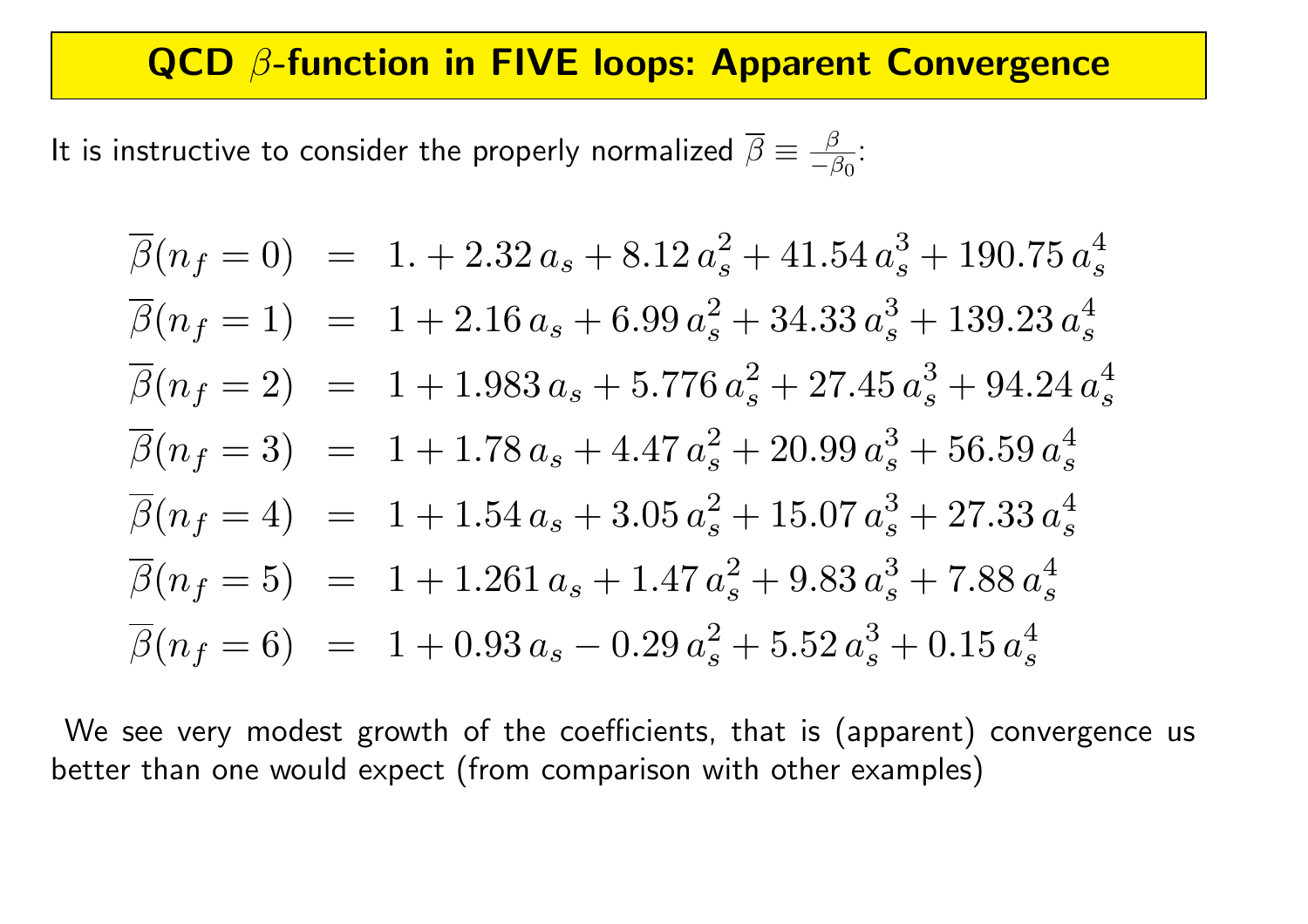### QCD  $\beta$ -function in FIVE loops: Apparent Convergence

It is instructive to consider the properly normalized  $\overline{\beta}\equiv\frac{-\beta}{-\beta}$  $-\beta_0$ :

$$
\overline{\beta}(n_f = 0) = 1 + 2.32 a_s + 8.12 a_s^2 + 41.54 a_s^3 + 190.75 a_s^4
$$
  
\n
$$
\overline{\beta}(n_f = 1) = 1 + 2.16 a_s + 6.99 a_s^2 + 34.33 a_s^3 + 139.23 a_s^4
$$
  
\n
$$
\overline{\beta}(n_f = 2) = 1 + 1.983 a_s + 5.776 a_s^2 + 27.45 a_s^3 + 94.24 a_s^4
$$
  
\n
$$
\overline{\beta}(n_f = 3) = 1 + 1.78 a_s + 4.47 a_s^2 + 20.99 a_s^3 + 56.59 a_s^4
$$
  
\n
$$
\overline{\beta}(n_f = 4) = 1 + 1.54 a_s + 3.05 a_s^2 + 15.07 a_s^3 + 27.33 a_s^4
$$
  
\n
$$
\overline{\beta}(n_f = 5) = 1 + 1.261 a_s + 1.47 a_s^2 + 9.83 a_s^3 + 7.88 a_s^4
$$
  
\n
$$
\overline{\beta}(n_f = 6) = 1 + 0.93 a_s - 0.29 a_s^2 + 5.52 a_s^3 + 0.15 a_s^4
$$

We see very modest growth of the coefficients, that is (apparent) convergence us better than one would expect (from comparison with other examples)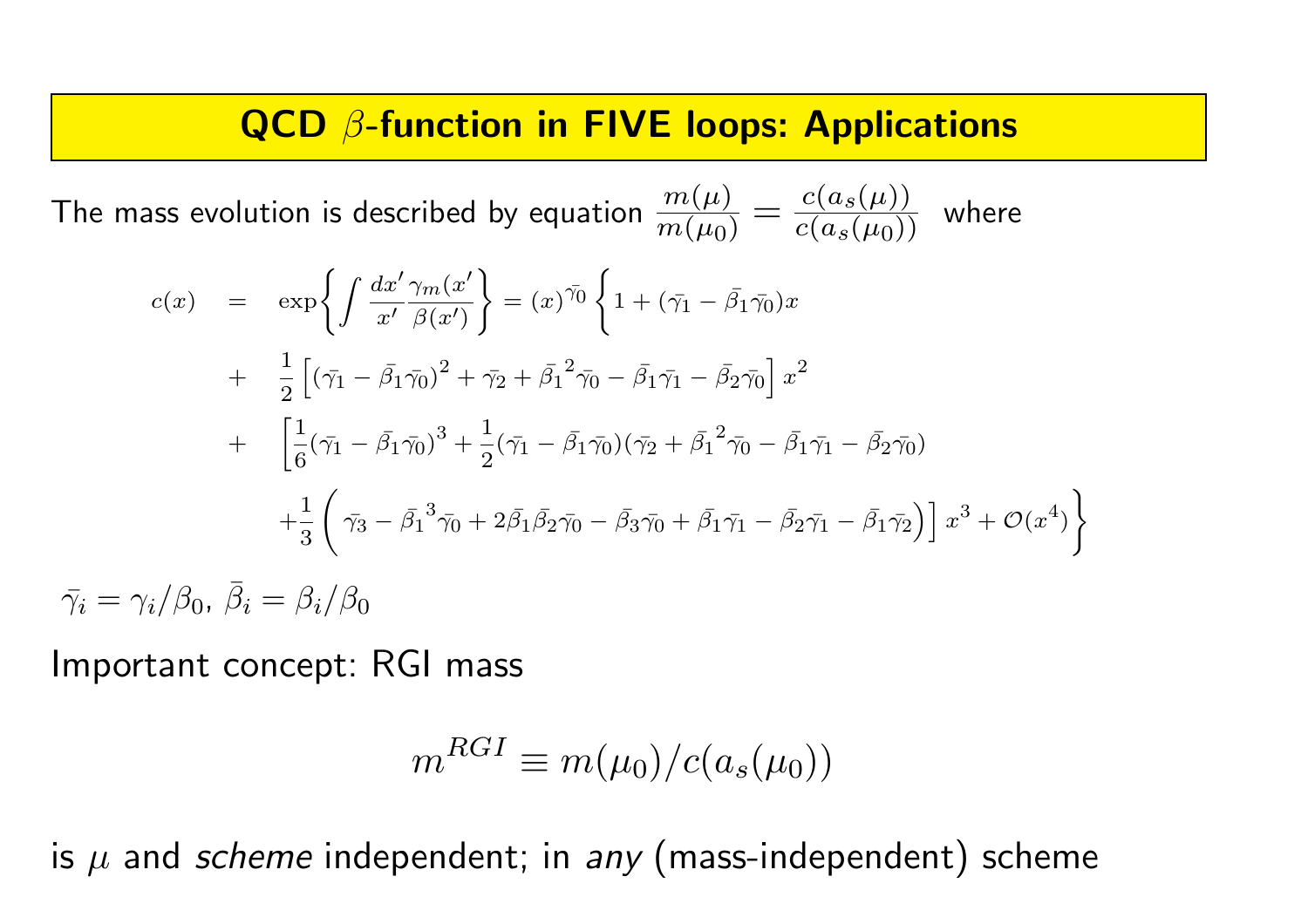### QCD  $\beta$ -function in FIVE loops: Applications

The mass evolution is described by equation  $m(\mu)$  $\frac{m(\mu)}{m(\mu_0)}=\frac{c(a_s(\mu))}{c(a_s(\mu_0))}$  $\frac{C(\alpha_S(\mu))}{c(a_S(\mu_0))}$  where

$$
c(x) = \exp\left\{\int \frac{dx'}{\pi'} \frac{\gamma_m(x'}{\beta(x')} \right\} = (x)^{\bar{\gamma_0}} \left\{ 1 + (\bar{\gamma_1} - \bar{\beta_1} \bar{\gamma_0}) x \right\}+ \frac{1}{2} \left[ (\bar{\gamma_1} - \bar{\beta_1} \bar{\gamma_0})^2 + \bar{\gamma_2} + \bar{\beta_1}^2 \bar{\gamma_0} - \bar{\beta_1} \bar{\gamma_1} - \bar{\beta_2} \bar{\gamma_0} \right] x^2 + \left[ \frac{1}{6} (\bar{\gamma_1} - \bar{\beta_1} \bar{\gamma_0})^3 + \frac{1}{2} (\bar{\gamma_1} - \bar{\beta_1} \bar{\gamma_0}) (\bar{\gamma_2} + \bar{\beta_1}^2 \bar{\gamma_0} - \bar{\beta_1} \bar{\gamma_1} - \bar{\beta_2} \bar{\gamma_0}) \right] + \frac{1}{3} \left( \bar{\gamma_3} - \bar{\beta_1}^3 \bar{\gamma_0} + 2 \bar{\beta_1} \bar{\beta_2} \bar{\gamma_0} - \bar{\beta_3} \bar{\gamma_0} + \bar{\beta_1} \bar{\gamma_1} - \bar{\beta_2} \bar{\gamma_1} - \bar{\beta_1} \bar{\gamma_2} \right) \right] x^3 + \mathcal{O}(x^4) \n\bar{\gamma_i} = \gamma_i / \beta_0, \ \bar{\beta_i} = \beta_i / \beta_0
$$

Important concept: RGI mass

$$
m^{RGI} \equiv m(\mu_0)/c(a_s(\mu_0))
$$

is  $\mu$  and *scheme* independent; in *any* (mass-independent) scheme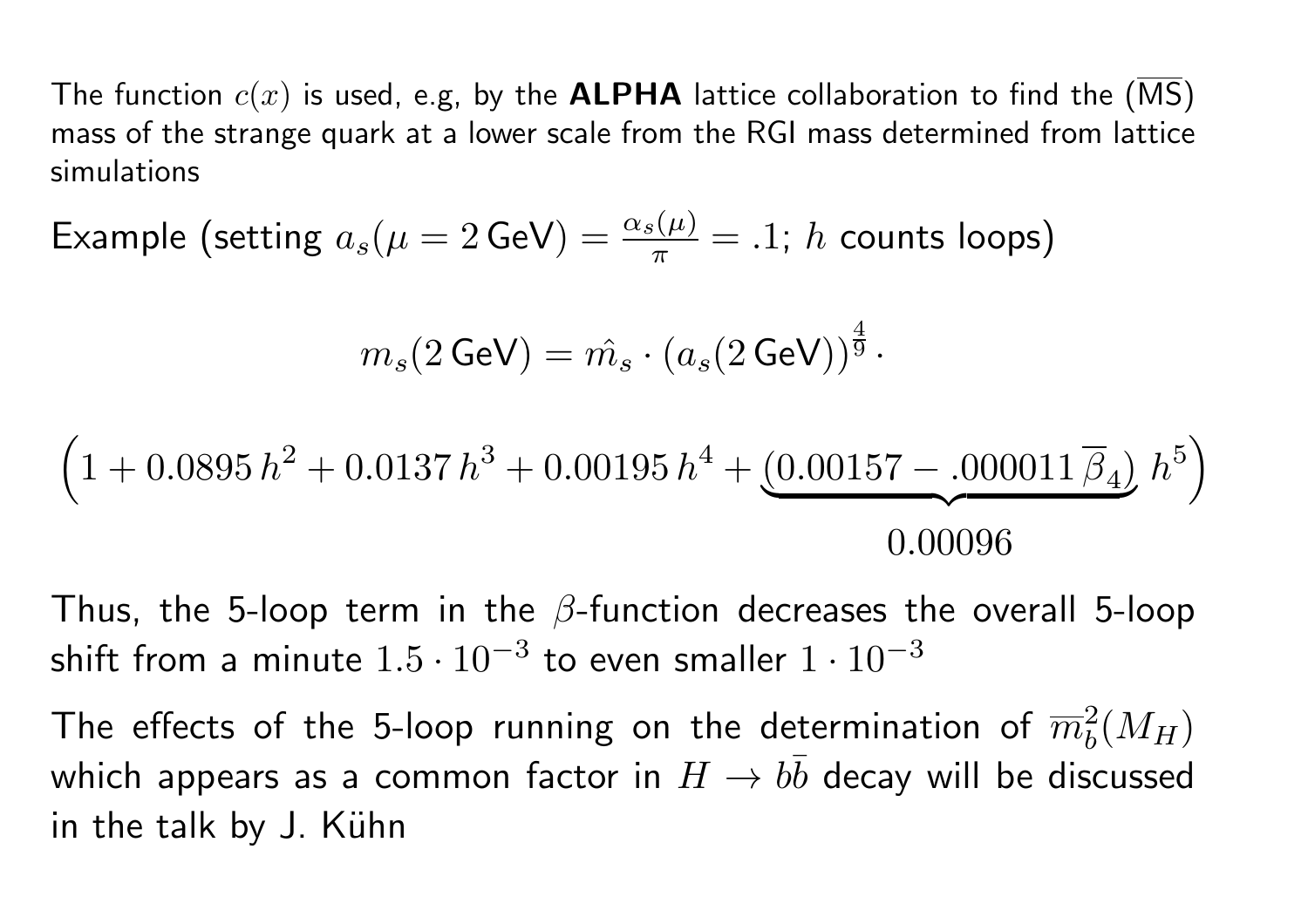The function  $c(x)$  is used, e.g, by the **ALPHA** lattice collaboration to find the (MS) mass of the strange quark at <sup>a</sup> lower scale from the RGI mass determined from lattice simulations

Example (setting  $a_s(\mu = 2 \text{ GeV}) = \frac{\alpha_s(\mu)}{\pi} = .1$ ; h counts loops)

$$
m_s(2\,\text{GeV}) = \hat{m_s} \cdot \left(a_s(2\,\text{GeV})\right)^{\frac{4}{9}}\cdot
$$

$$
\left(1+0.0895\,h^2+0.0137\,h^3+0.00195\,h^4+\underbrace{(0.00157-.000011\,\overline{\beta}_4)}_{0.00096}\,h^5\right)
$$

Thus, the 5-loop term in the  $\beta$ -function decreases the overall 5-loop shift from a minute  $1.5 \cdot 10^{-3}$  to even smaller  $1 \cdot 10^{-3}$ 

The effects of the 5-loop running on the determination of  $\overline{m}_h^2(M_H)$ which appears as a common factor in  $H \to bb$  decay will be discussed in the talk by J. Kühn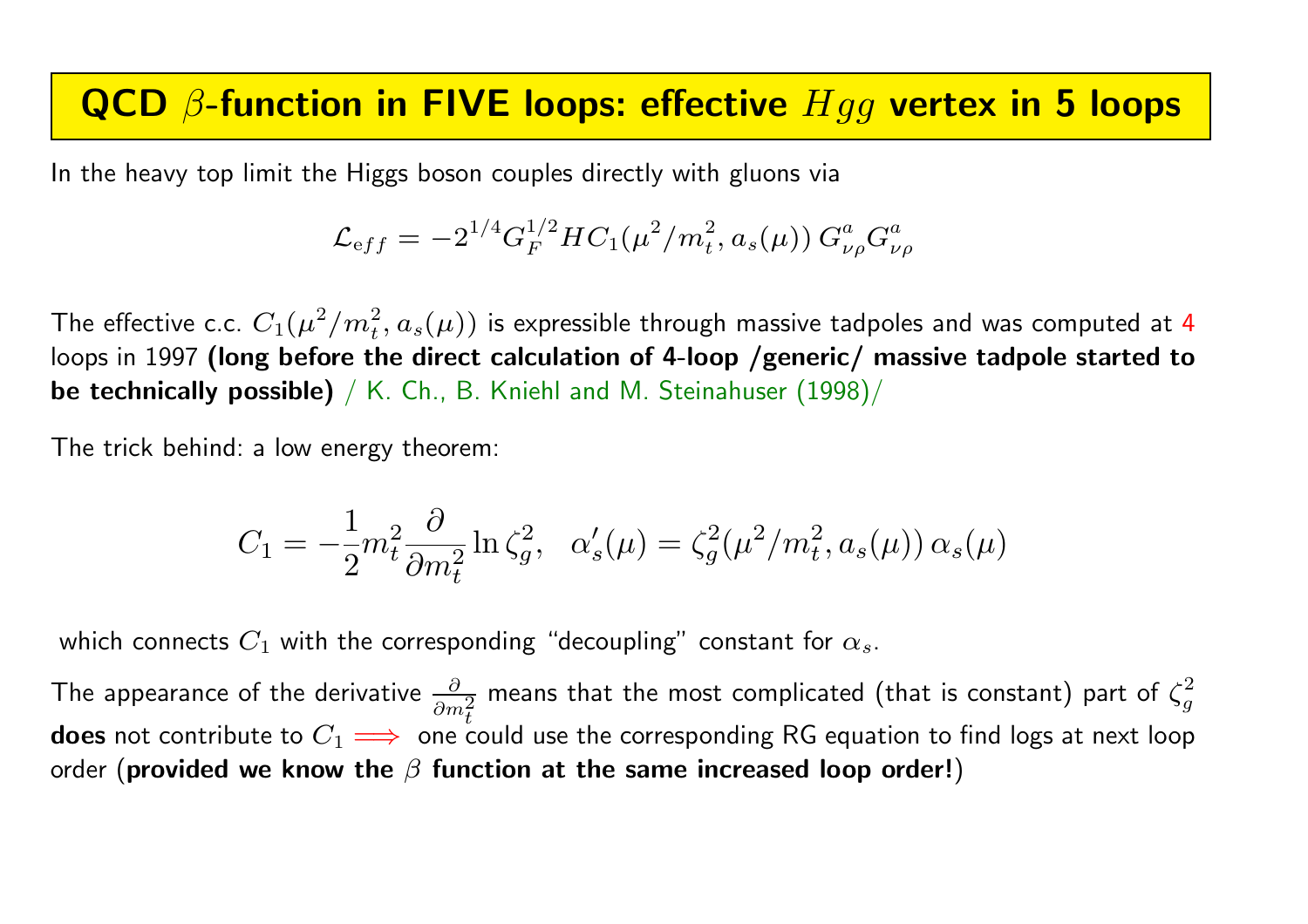### QCD  $\beta$ -function in FIVE loops: effective  $Hgg$  vertex in 5 loops

In the heavy top limit the Higgs boson couples directly with gluons via

$$
\mathcal{L}_{\text eff} = -2^{1/4} G_F^{1/2} H C_1(\mu^2/m_t^2, a_s(\mu)) \, G_{\nu\rho}^a G_{\nu\rho}^a
$$

The effective c.c.  $C_1(\mu^2/m_t^2,a_s(\mu))$  is expressible through massive tadpoles and was computed at  ${\bf 4}$ loops in 1997 (long before the direct calculation of 4-loop /generic/ massive tadpole started to be technically possible) / K. Ch., B. Kniehl and M. Steinahuser (1998)/

The trick behind: <sup>a</sup> low energy theorem:

$$
C_1 = -\frac{1}{2}m_t^2 \frac{\partial}{\partial m_t^2} \ln \zeta_g^2, \quad \alpha_s'(\mu) = \zeta_g^2(\mu^2/m_t^2, a_s(\mu)) \alpha_s(\mu)
$$

which connects  $C_1$  with the corresponding "decoupling" constant for  $\alpha_s.$ 

The appearance of the derivative  $\frac{\partial}{\partial \theta}$  $\partial m^2$ t means that the most complicated (that is constant) part of  $\zeta^2_a$ g  $\mathop{\sf does}$  not contribute to  $C_1 \Longrightarrow~$  one could use the corresponding RG equation to find logs at next loop  $\,$ order  $\,$  (provided we know the  $\beta$  function at the same increased loop order! $)\,$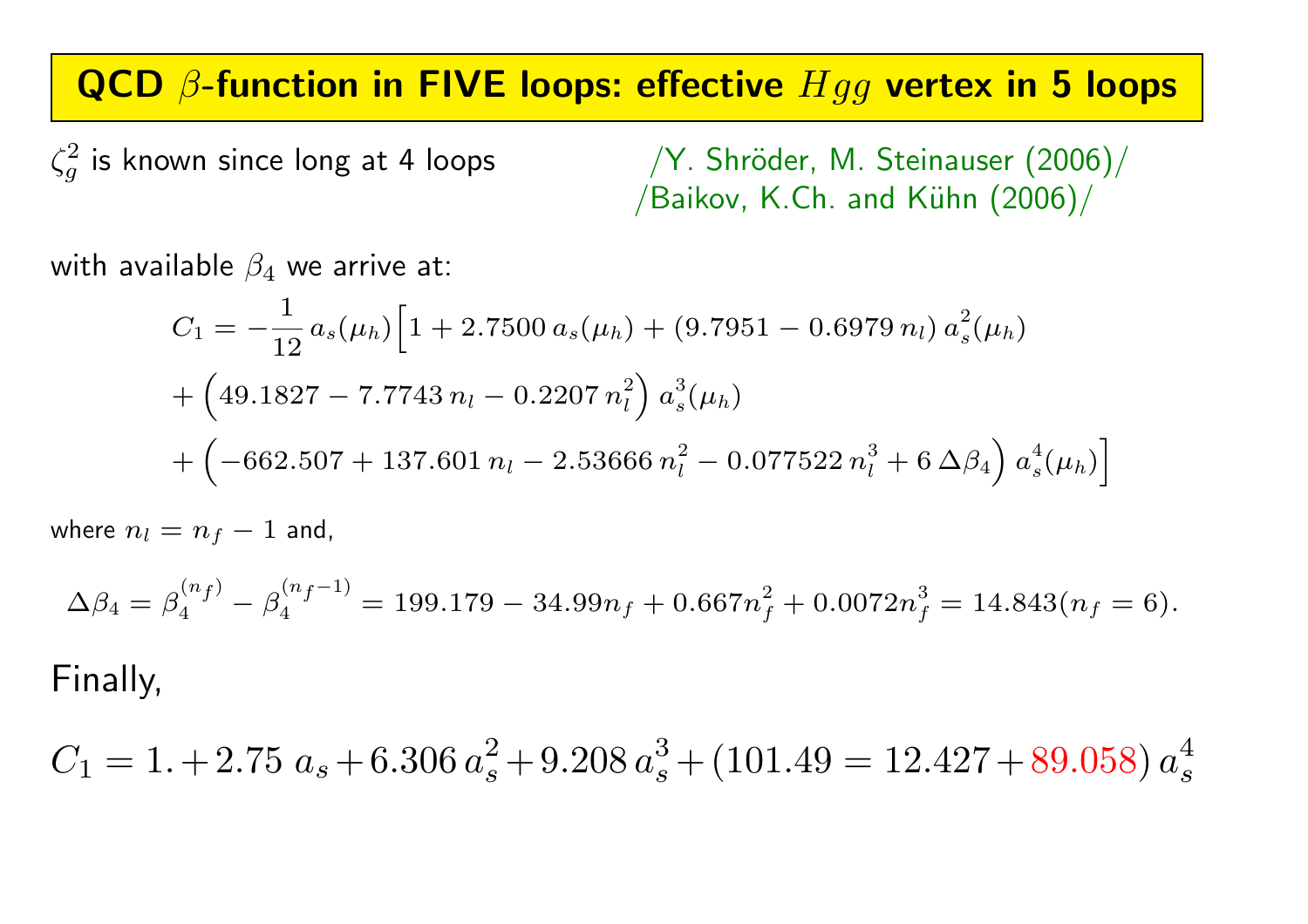### QCD  $\beta$ -function in FIVE loops: effective  $Hgg$  vertex in 5 loops

 $\zeta_a^2$ 

 $\sqrt{Y}$ . Shröder, M. Steinauser (2006)/ /Baikov, K.Ch. and Kühn  $(2006)/$ 

with available  $\beta_4$  we arrive at:

$$
C_1 = -\frac{1}{12} a_s(\mu_h) \Big[ 1 + 2.7500 a_s(\mu_h) + (9.7951 - 0.6979 n_l) a_s^2(\mu_h) + \Big( 49.1827 - 7.7743 n_l - 0.2207 n_l^2 \Big) a_s^3(\mu_h) + \Big( -662.507 + 137.601 n_l - 2.53666 n_l^2 - 0.077522 n_l^3 + 6 \Delta \beta_4 \Big) a_s^4(\mu_h) \Big]
$$

where  $n_l = n_f$ − 1 and,

$$
\Delta \beta_4 = \beta_4^{(n_f)} - \beta_4^{(n_f - 1)} = 199.179 - 34.99n_f + 0.667n_f^2 + 0.0072n_f^3 = 14.843(n_f = 6).
$$

### Finally,

$$
C_1 = 1.+2.75\ a_s+6.306\ a_s^2+9.208\ a_s^3+(101.49=12.427+89.058)\ a_s^4
$$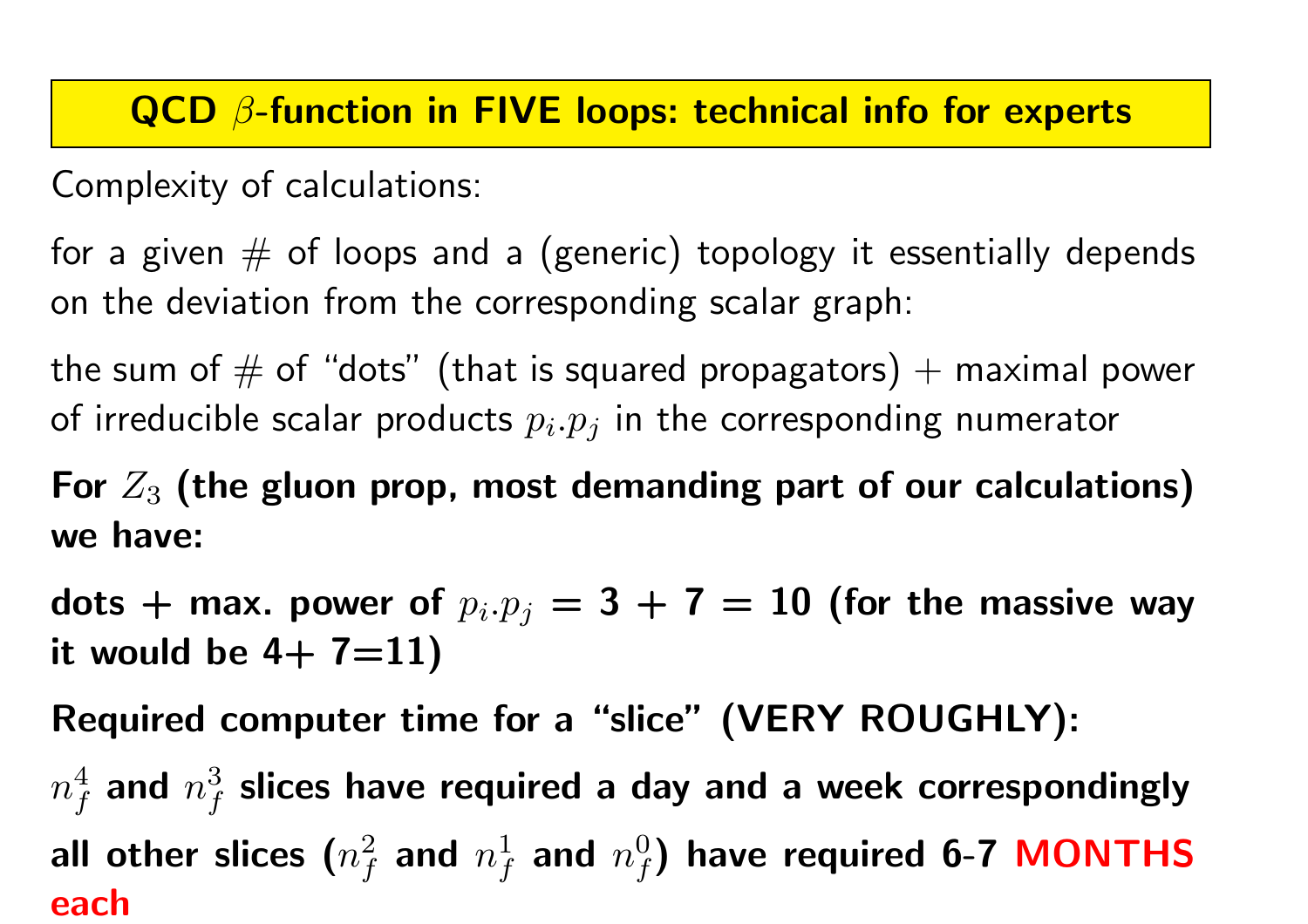### QCD  $\beta$ -function in FIVE loops: technical info for experts

Complexity of calculations:

for a given  $#$  of loops and a (generic) topology it essentially depends on the deviation from the corresponding scalar graph:

the sum of  $\#$  of "dots" (that is squared propagators) + maximal power of irreducible scalar products  $p_i.p_j$  in the corresponding numerator

For  $Z_3$  (the gluon prop, most demanding part of our calculations) we have:

dots  $+$  max. power of  $p_i.p_j=3\,+\,7\,=\,10$  (for the massive way it would be  $4+ 7=11$ 

Required computer time for <sup>a</sup> "slice" (VERY ROUGHLY):

 $n_f^4$  and  $n_f^3$  slices have required a day and a week correspondingly all other slices  $(n_f^2$  and  $n_f^1$  and  $n_f^0)$  have required 6-7 MONTHS each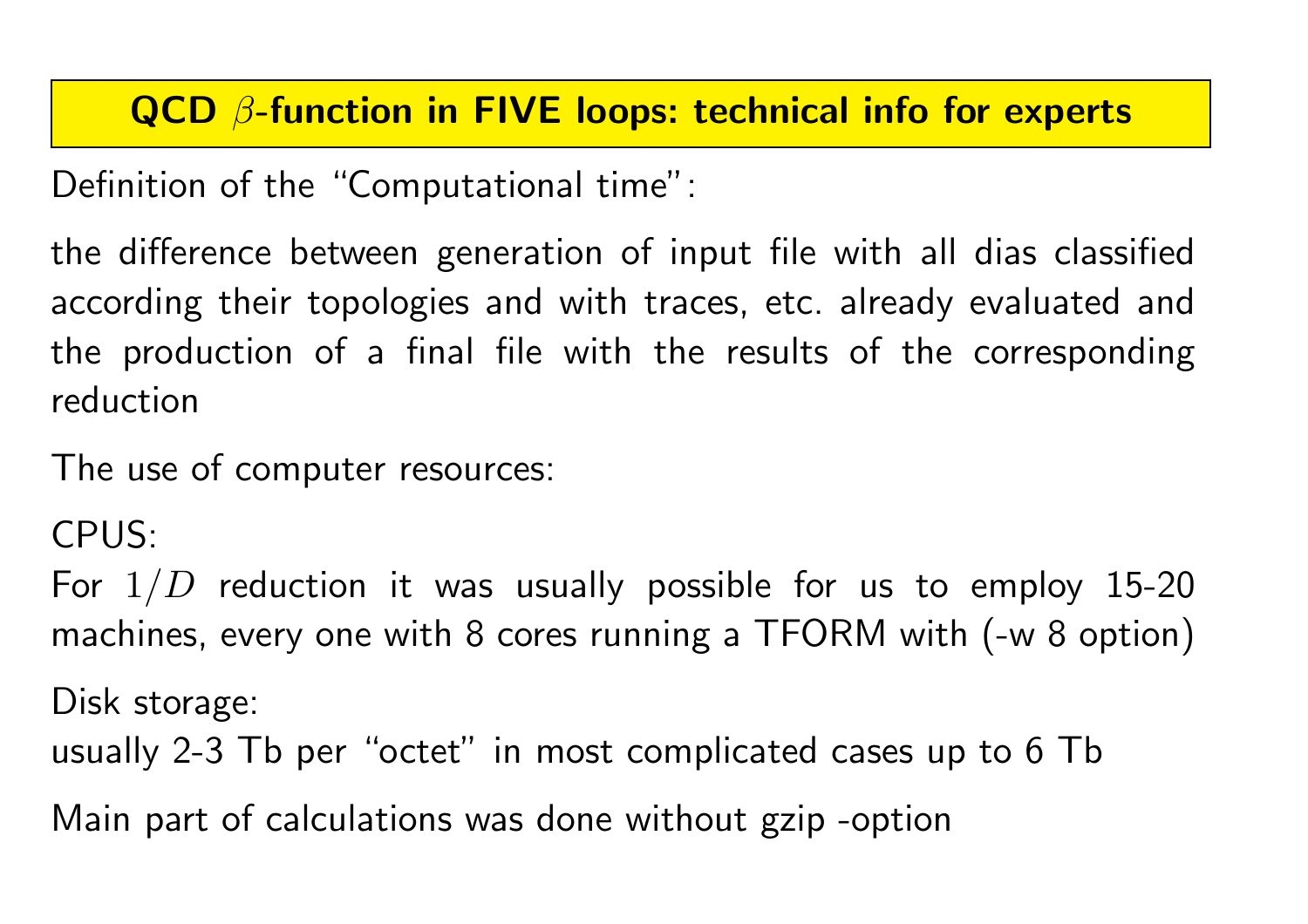## QCD  $\beta$ -function in FIVE loops: technical info for experts

Definition of the "Computational time":

the difference between generation of input file with all dias classified according their topologies and with traces, etc. already evaluated and the production of a final file with the results of the corresponding reduction

The use of computer resources:

CPUS:

For  $1/D$  reduction it was usually possible for us to employ 15-20 machines, every one with <sup>8</sup> cores running <sup>a</sup> TFORM with (-w <sup>8</sup> option)

Disk storage:

usually 2-3 Tb per "octet" in most complicated cases up to 6 Tb

Main part of calculations was done without gzip -option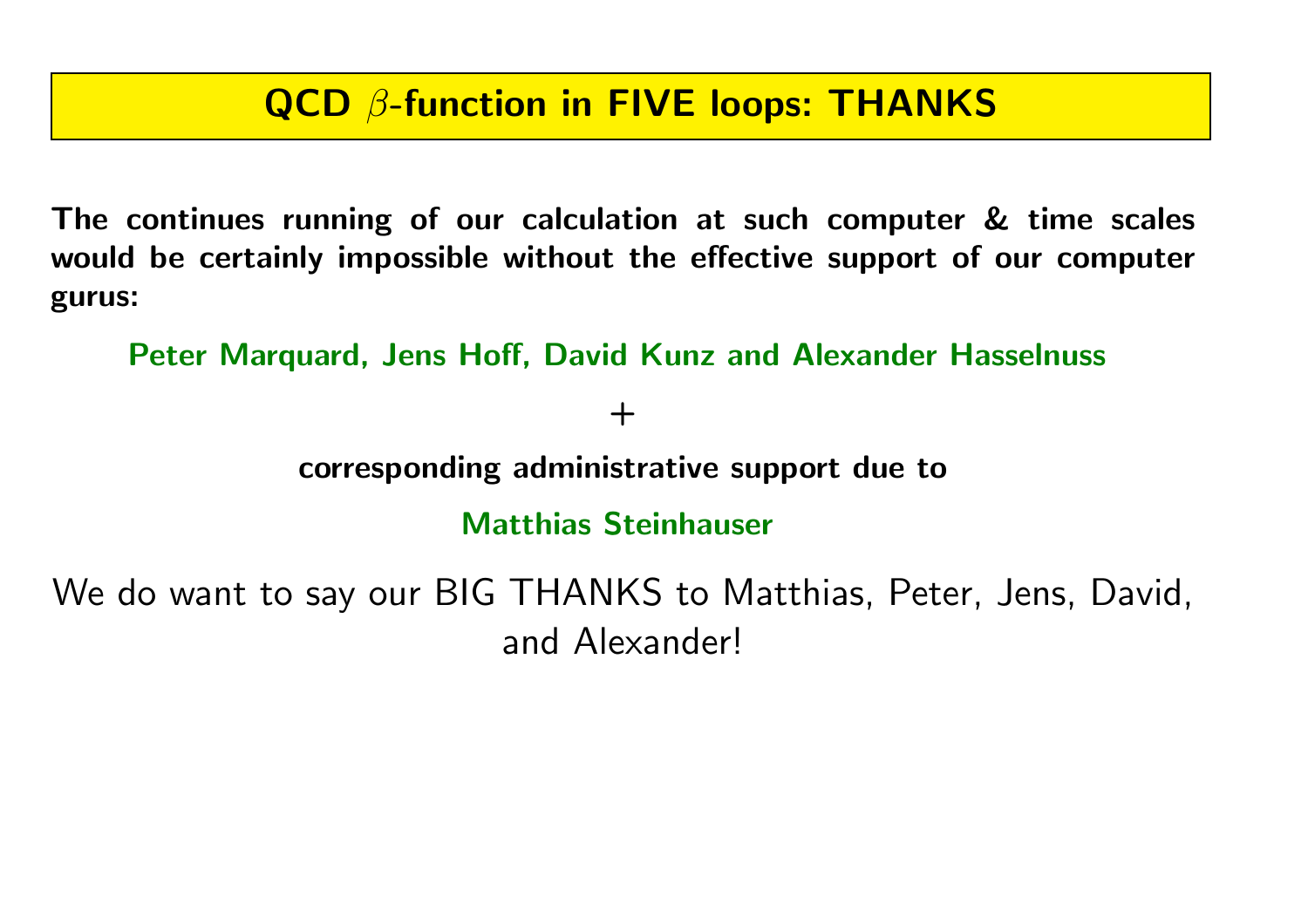### QCD β-function in FIVE loops: THANKS

The continues running of our calculation at such computer & time scales would be certainly impossible without the effective support of our computer gurus:

Peter Marquard, Jens Hoff, David Kunz and Alexander Hasselnuss

 $+$ 

corresponding administrative support due to

Matthias Steinhauser

We do want to say our BIG THANKS to Matthias, Peter, Jens, David, and Alexander!